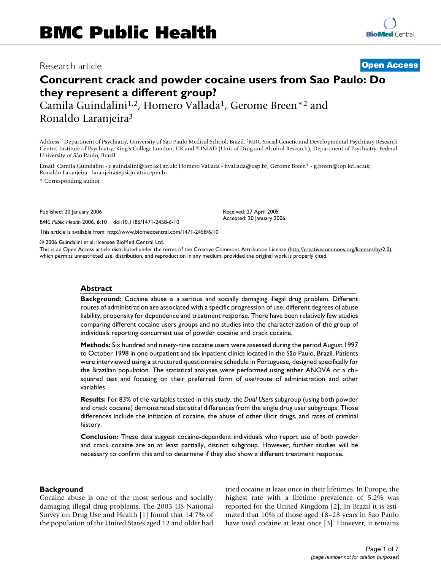# Research article **[Open Access](http://www.biomedcentral.com/info/about/charter/)**

# **Concurrent crack and powder cocaine users from Sao Paulo: Do they represent a different group?**

Camila Guindalini1,2, Homero Vallada1, Gerome Breen\*2 and Ronaldo Laranjeira3

Address: 1Department of Psychiatry, University of São Paulo Medical School, Brazil, 2MRC Social Genetic and Developmental Psychiatry Research Centre, Institute of Psychiatry, King's College London, UK and 3UNIAD (Unit of Drug and Alcohol Research), Department of Psychiatry, Federal University of São Paulo, Brazil

Email: Camila Guindalini - c.guindalini@iop.kcl.ac.uk; Homero Vallada - hvallada@usp.br; Gerome Breen\* - g.breen@iop.kcl.ac.uk; Ronaldo Laranjeira - laranjeira@psiquiatria.epm.br

\* Corresponding author

Published: 20 January 2006

*BMC Public Health* 2006, **6**:10 doi:10.1186/1471-2458-6-10

[This article is available from: http://www.biomedcentral.com/1471-2458/6/10](http://www.biomedcentral.com/1471-2458/6/10)

© 2006 Guindalini et al; licensee BioMed Central Ltd.

This is an Open Access article distributed under the terms of the Creative Commons Attribution License [\(http://creativecommons.org/licenses/by/2.0\)](http://creativecommons.org/licenses/by/2.0), which permits unrestricted use, distribution, and reproduction in any medium, provided the original work is properly cited.

Received: 27 April 2005 Accepted: 20 January 2006

#### **Abstract**

**Background:** Cocaine abuse is a serious and socially damaging illegal drug problem. Different routes of administration are associated with a specific progression of use, different degrees of abuse liability, propensity for dependence and treatment response. There have been relatively few studies comparing different cocaine users groups and no studies into the characterization of the group of individuals reporting concurrent use of powder cocaine and crack cocaine.

**Methods:** Six hundred and ninety-nine cocaine users were assessed during the period August 1997 to October 1998 in one outpatient and six inpatient clinics located in the São Paulo, Brazil. Patients were interviewed using a structured questionnaire schedule in Portuguese, designed specifically for the Brazilian population. The statistical analyses were performed using either ANOVA or a chisquared test and focusing on their preferred form of use/route of administration and other variables.

**Results:** For 83% of the variables tested in this study, the *Dual Users* subgroup (using both powder and crack cocaine) demonstrated statistical differences from the single drug user subgroups. Those differences include the initiation of cocaine, the abuse of other illicit drugs, and rates of criminal history.

**Conclusion:** These data suggest cocaine-dependent individuals who report use of both powder and crack cocaine are an at least partially, distinct subgroup. However, further studies will be necessary to confirm this and to determine if they also show a different treatment response.

# **Background**

Cocaine abuse is one of the most serious and socially damaging illegal drug problems. The 2003 US National Survey on Drug Use and Health [1] found that 14.7% of the population of the United States aged 12 and older had tried cocaine at least once in their lifetimes. In Europe, the highest rate with a lifetime prevalence of 5.2% was reported for the United Kingdom [2]. In Brazil it is estimated that 10% of those aged 18–28 years in Sao Paulo have used cocaine at least once [3]. However, it remains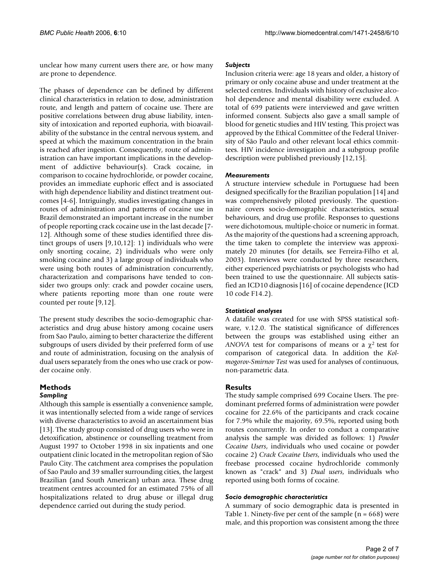unclear how many current users there are, or how many are prone to dependence.

The phases of dependence can be defined by different clinical characteristics in relation to dose, administration route, and length and pattern of cocaine use. There are positive correlations between drug abuse liability, intensity of intoxication and reported euphoria, with bioavailability of the substance in the central nervous system, and speed at which the maximum concentration in the brain is reached after ingestion. Consequently, route of administration can have important implications in the development of addictive behaviour(s). Crack cocaine, in comparison to cocaine hydrochloride, or powder cocaine, provides an immediate euphoric effect and is associated with high dependence liability and distinct treatment outcomes [4-6]. Intriguingly, studies investigating changes in routes of administration and patterns of cocaine use in Brazil demonstrated an important increase in the number of people reporting crack cocaine use in the last decade [7- 12]. Although some of these studies identified three distinct groups of users [9,10,12]: 1) individuals who were only snorting cocaine, 2) individuals who were only smoking cocaine and 3) a large group of individuals who were using both routes of administration concurrently, characterization and comparisons have tended to consider two groups only: crack and powder cocaine users, where patients reporting more than one route were counted per route [9,12].

The present study describes the socio-demographic characteristics and drug abuse history among cocaine users from Sao Paulo, aiming to better characterize the different subgroups of users divided by their preferred form of use and route of administration, focusing on the analysis of dual users separately from the ones who use crack or powder cocaine only.

# **Methods**

# *Sampling*

Although this sample is essentially a convenience sample, it was intentionally selected from a wide range of services with diverse characteristics to avoid an ascertainment bias [13]. The study group consisted of drug users who were in detoxification, abstinence or counselling treatment from August 1997 to October 1998 in six inpatients and one outpatient clinic located in the metropolitan region of São Paulo City. The catchment area comprises the population of Sao Paulo and 39 smaller surrounding cities, the largest Brazilian (and South American) urban area. These drug treatment centres accounted for an estimated 75% of all hospitalizations related to drug abuse or illegal drug dependence carried out during the study period.

# *Subjects*

Inclusion criteria were: age 18 years and older, a history of primary or only cocaine abuse and under treatment at the selected centres. Individuals with history of exclusive alcohol dependence and mental disability were excluded. A total of 699 patients were interviewed and gave written informed consent. Subjects also gave a small sample of blood for genetic studies and HIV testing. This project was approved by the Ethical Committee of the Federal University of São Paulo and other relevant local ethics committees. HIV incidence investigation and a subgroup profile description were published previously [12,15].

# *Measurements*

A structure interview schedule in Portuguese had been designed specifically for the Brazilian population [14] and was comprehensively piloted previously. The questionnaire covers socio-demographic characteristics, sexual behaviours, and drug use profile. Responses to questions were dichotomous, multiple-choice or numeric in format. As the majority of the questions had a screening approach, the time taken to complete the interview was approximately 20 minutes (for details, see Ferreira-Filho et al, 2003). Interviews were conducted by three researchers, either experienced psychiatrists or psychologists who had been trained to use the questionnaire. All subjects satisfied an ICD10 diagnosis [16] of cocaine dependence (ICD 10 code F14.2).

# *Statistical analyses*

A datafile was created for use with SPSS statistical software, v.12.0. The statistical significance of differences between the groups was established using either an *ANOVA* test for comparisons of means or a  $\chi^2$  test for comparison of categorical data. In addition the *Kolmogorov-Smirnov Test* was used for analyses of continuous, non-parametric data.

# **Results**

The study sample comprised 699 Cocaine Users. The predominant preferred forms of administration were powder cocaine for 22.6% of the participants and crack cocaine for 7.9% while the majority, 69.5%, reported using both routes concurrently. In order to conduct a comparative analysis the sample was divided as follows: 1) *Powder Cocaine Users*, individuals who used cocaine or powder cocaine 2) *Crack Cocaine Users*, individuals who used the freebase processed cocaine hydrochloride commonly known as "crack" and 3) *Dual users*, individuals who reported using both forms of cocaine.

# *Socio demographic characteristics*

A summary of socio demographic data is presented in Table 1. Ninety-five per cent of the sample  $(n = 668)$  were male, and this proportion was consistent among the three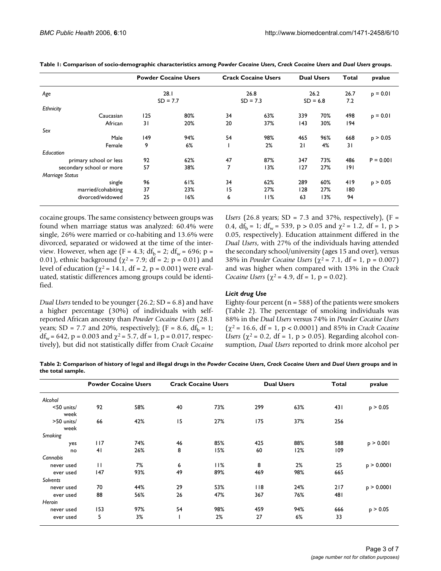|                          |                    | <b>Powder Cocaine Users</b> |                    | <b>Crack Cocaine Users</b> |                    | <b>Dual Users</b> | <b>Total</b> | pvalue      |
|--------------------------|--------------------|-----------------------------|--------------------|----------------------------|--------------------|-------------------|--------------|-------------|
| Age                      | 28.1<br>$SD = 7.7$ |                             | 26.8<br>$SD = 7.3$ |                            | 26.2<br>$SD = 6.8$ |                   | 26.7         | $p = 0.01$  |
|                          |                    |                             |                    |                            |                    |                   | 7.2          |             |
| <b>Ethnicity</b>         |                    |                             |                    |                            |                    |                   |              |             |
| Caucasian                | 125                | 80%                         | 34                 | 63%                        | 339                | 70%               | 498          | $p = 0.01$  |
| African                  | 31                 | 20%                         | 20                 | 37%                        | 143                | 30%               | 194          |             |
| Sex                      |                    |                             |                    |                            |                    |                   |              |             |
| Male                     | 149                | 94%                         | 54                 | 98%                        | 465                | 96%               | 668          | p > 0.05    |
| Female                   | 9                  | 6%                          |                    | 2%                         | 21                 | 4%                | 31           |             |
| Education                |                    |                             |                    |                            |                    |                   |              |             |
| primary school or less   | 92                 | 62%                         | 47                 | 87%                        | 347                | 73%               | 486          | $P = 0.001$ |
| secondary school or more | 57                 | 38%                         | $\overline{7}$     | 13%                        | 127                | 27%               | 191          |             |
| Marriage Status          |                    |                             |                    |                            |                    |                   |              |             |
| single                   | 96                 | 61%                         | 34                 | 62%                        | 289                | 60%               | 419          | p > 0.05    |
| married/cohabiting       | 37                 | 23%                         | 15                 | 27%                        | 128                | 27%               | 180          |             |
| divorced/widowed         | 25                 | 16%                         | 6                  | 11%                        | 63                 | 13%               | 94           |             |

**Table 1: Comparison of socio-demographic characteristics among** *Powder Cocaine Users***,** *Crack Cocaine Users* **and** *Dual Users* **groups.**

cocaine groups. The same consistency between groups was found when marriage status was analyzed: 60.4% were single, 26% were married or co-habiting and 13.6% were divorced, separated or widowed at the time of the interview. However, when age (F = 4.3; df<sub>b</sub> = 2; df<sub>w</sub> = 696; p = 0.01), ethnic background ( $\chi^2$  = 7.9; df = 2; p = 0.01) and level of education ( $\chi^2$  = 14.1, df = 2, p = 0.001) were evaluated, statistic differences among groups could be identified.

*Dual Users* tended to be younger (26.2; SD = 6.8) and have a higher percentage (30%) of individuals with selfreported African ancestry than *Powder Cocaine Users* (28.1 years; SD = 7.7 and 20%, respectively);  $(F = 8.6, df_b = 1;$  $df<sub>w</sub> = 642$ , p = 0.003 and  $χ<sup>2</sup> = 5.7$ , df = 1, p = 0.017, respectively), but did not statistically differ from *Crack Cocaine*

*Licit drug Use* Eighty-four percent ( $n = 588$ ) of the patients were smokers (Table 2). The percentage of smoking individuals was 88% in the *Dual Users* versus 74% in *Powder Cocaine Users* (χ2 = 16.6, df = 1, p < 0.0001) and 85% in *Crack Cocaine Users* ( $\chi^2$  = 0.2, df = 1, p > 0.05). Regarding alcohol consumption, *Dual Users* reported to drink more alcohol per

*Cocaine Users* ( $\chi^2$  = 4.9, df = 1, p = 0.02).

*Users* (26.8 years; SD = 7.3 and 37%, respectively), (F = 0.4, df<sub>b</sub> = 1; df<sub>w</sub> = 539, p > 0.05 and  $\chi^2$  = 1.2, df = 1, p > 0.05, respectively). Education attainment differed in the *Dual Users*, with 27% of the individuals having attended the secondary school/university (ages 15 and over), versus 38% in *Powder Cocaine Users* (χ2 = 7.1, df = 1, p = 0.007) and was higher when compared with 13% in the *Crack*

**Table 2: Comparison of history of legal and illegal drugs in the** *Powder Cocaine Users***,** *Crack Cocaine Users* **and** *Dual Users* **groups and in the total sample.**

|                       | <b>Powder Cocaine Users</b> |     | <b>Crack Cocaine Users</b> |     | <b>Dual Users</b> |     | Total | pvalue     |
|-----------------------|-----------------------------|-----|----------------------------|-----|-------------------|-----|-------|------------|
| Alcohol               |                             |     |                            |     |                   |     |       |            |
| $<$ 50 units/<br>week | 92                          | 58% | 40                         | 73% | 299               | 63% | 431   | p > 0.05   |
| >50 units/<br>week    | 66                          | 42% | 15                         | 27% | 175               | 37% | 256   |            |
| Smoking               |                             |     |                            |     |                   |     |       |            |
| yes                   | 117                         | 74% | 46                         | 85% | 425               | 88% | 588   | p > 0.001  |
| no                    | 41                          | 26% | 8                          | 15% | 60                | 12% | 109   |            |
| Cannabis              |                             |     |                            |     |                   |     |       |            |
| never used            | $\mathbf{H}$                | 7%  | 6                          | 11% | 8                 | 2%  | 25    | p > 0.0001 |
| ever used             | 147                         | 93% | 49                         | 89% | 469               | 98% | 665   |            |
| <b>Solvents</b>       |                             |     |                            |     |                   |     |       |            |
| never used            | 70                          | 44% | 29                         | 53% | $ $  8            | 24% | 217   | p > 0.0001 |
| ever used             | 88                          | 56% | 26                         | 47% | 367               | 76% | 481   |            |
| Heroin                |                             |     |                            |     |                   |     |       |            |
| never used            | 153                         | 97% | 54                         | 98% | 459               | 94% | 666   | p > 0.05   |
| ever used             | 5                           | 3%  |                            | 2%  | 27                | 6%  | 33    |            |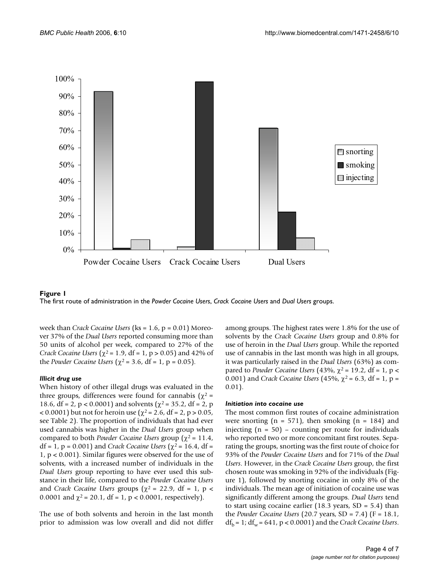

# The first route of ad **Figure 1** ministration in the *Powder Cocaine Users*, *Crack Cocaine Users* and *Dual Users* groups The first route of administration in the *Powder Cocaine Users*, *Crack Cocaine Users* and *Dual Users* groups.

week than *Crack Cocaine Users* (ks = 1.6, p = 0.01) Moreover 37% of the *Dual Users* reported consuming more than 50 units of alcohol per week, compared to 27% of the *Crack Cocaine Users* ( $\chi^2$  = 1.9, df = 1, p > 0.05) and 42% of the *Powder Cocaine Users* ( $χ² = 3.6$ , df = 1, p = 0.05).

# *Illicit drug use*

When history of other illegal drugs was evaluated in the three groups, differences were found for cannabis ( $\chi^2$  = 18.6, df = 2, p < 0.0001) and solvents ( $\chi^2$  = 35.2, df = 2, p < 0.0001) but not for heroin use ( $\chi^2$  = 2.6, df = 2, p > 0.05, see Table 2). The proportion of individuals that had ever used cannabis was higher in the *Dual Users* group when compared to both *Powder Cocaine Users* group (χ2 = 11.4, df = 1, p = 0.001) and *Crack Cocaine Users* ( $\chi^2$  = 16.4, df = 1, p < 0.001). Similar figures were observed for the use of solvents, with a increased number of individuals in the *Dual Users* group reporting to have ever used this substance in their life, compared to the *Powder Cocaine Users* and *Crack Cocaine Users* groups ( $\chi^2$  = 22.9, df = 1, p < 0.0001 and  $\chi^2$  = 20.1, df = 1, p < 0.0001, respectively).

The use of both solvents and heroin in the last month prior to admission was low overall and did not differ

among groups. The highest rates were 1.8% for the use of solvents by the *Crack Cocaine Users* group and 0.8% for use of heroin in the *Dual Users* group. While the reported use of cannabis in the last month was high in all groups, it was particularly raised in the *Dual Users* (63%) as compared to *Powder Cocaine Users* (43%, χ2 = 19.2, df = 1, p < 0.001) and *Crack Cocaine Users* (45%, χ2 = 6.3, df = 1, p = 0.01).

# *Initiation into cocaine use*

The most common first routes of cocaine administration were snorting  $(n = 571)$ , then smoking  $(n = 184)$  and injecting  $(n = 50)$  – counting per route for individuals who reported two or more concomitant first routes. Separating the groups, snorting was the first route of choice for 93% of the *Powder Cocaine Users* and for 71% of the *Dual Users*. However, in the *Crack Cocaine Users* group, the first chosen route was smoking in 92% of the individuals (Figure 1), followed by snorting cocaine in only 8% of the individuals. The mean age of initiation of cocaine use was significantly different among the groups. *Dual Users* tend to start using cocaine earlier (18.3 years,  $SD = 5.4$ ) than the *Powder Cocaine Users* (20.7 years, SD = 7.4) (F = 18.1,  $df_b = 1$ ;  $df_w = 641$ ,  $p < 0.0001$  and the *Crack Cocaine Users*.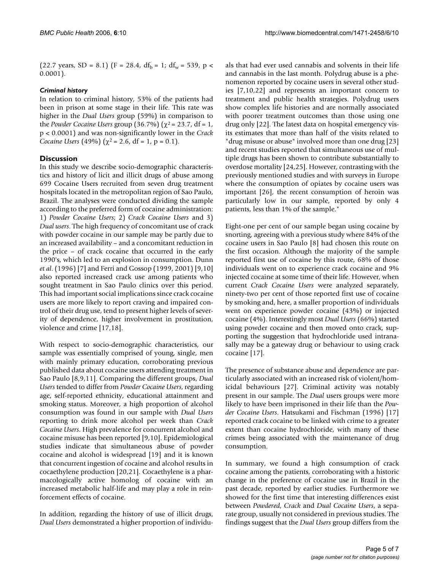(22.7 years, SD = 8.1) (F = 28.4,  $df_b = 1$ ;  $df_w = 539$ , p < 0.0001).

# *Criminal history*

In relation to criminal history, 53% of the patients had been in prison at some stage in their life. This rate was higher in the *Dual Users* group (59%) in comparison to the *Powder Cocaine Users* group (36.7%) ( $\chi^2$  = 23.7, df = 1, p < 0.0001) and was non-significantly lower in the *Crack Cocaine Users* (49%) ( $\chi^2$  = 2.6, df = 1, p = 0.1).

# **Discussion**

In this study we describe socio-demographic characteristics and history of licit and illicit drugs of abuse among 699 Cocaine Users recruited from seven drug treatment hospitals located in the metropolitan region of Sao Paulo, Brazil. The analyses were conducted dividing the sample according to the preferred form of cocaine administration: 1) *Powder Cocaine Users*; 2) *Crack Cocaine Users* and 3) *Dual users*. The high frequency of concomitant use of crack with powder cocaine in our sample may be partly due to an increased availability – and a concomitant reduction in the price – of crack cocaine that occurred in the early 1990's, which led to an explosion in consumption. Dunn *et al*. (1996) [7] and Ferri and Gossop (1999, 2001) [9,10] also reported increased crack use among patients who sought treatment in Sao Paulo clinics over this period. This had important social implications since crack cocaine users are more likely to report craving and impaired control of their drug use, tend to present higher levels of severity of dependence, higher involvement in prostitution, violence and crime [17,18].

With respect to socio-demographic characteristics, our sample was essentially comprised of young, single, men with mainly primary education, corroborating previous published data about cocaine users attending treatment in Sao Paulo [8,9,11]. Comparing the different groups, *Dual Users* tended to differ from *Powder Cocaine Users*, regarding age, self-reported ethnicity, educational attainment and smoking status. Moreover, a high proportion of alcohol consumption was found in our sample with *Dual Users* reporting to drink more alcohol per week than *Crack Cocaine Users*. High prevalence for concurrent alcohol and cocaine misuse has been reported [9,10]. Epidemiological studies indicate that simultaneous abuse of powder cocaine and alcohol is widespread [19] and it is known that concurrent ingestion of cocaine and alcohol results in cocaethylene production [20,21]. Cocaethylene is a pharmacologically active homolog of cocaine with an increased metabolic half-life and may play a role in reinforcement effects of cocaine.

In addition, regarding the history of use of illicit drugs, *Dual Users* demonstrated a higher proportion of individuals that had ever used cannabis and solvents in their life and cannabis in the last month. Polydrug abuse is a phenomenon reported by cocaine users in several other studies [7,10,22] and represents an important concern to treatment and public health strategies. Polydrug users show complex life histories and are normally associated with poorer treatment outcomes than those using one drug only [22]. The latest data on hospital emergency visits estimates that more than half of the visits related to "drug misuse or abuse" involved more than one drug [23] and recent studies reported that simultaneous use of multiple drugs has been shown to contribute substantially to overdose mortality [24,25]. However, contrasting with the previously mentioned studies and with surveys in Europe where the consumption of opiates by cocaine users was important [26], the recent consumption of heroin was particularly low in our sample, reported by only 4 patients, less than 1% of the sample."

Eight-one per cent of our sample began using cocaine by snorting, agreeing with a previous study where 84% of the cocaine users in Sao Paulo [8] had chosen this route on the first occasion. Although the majority of the sample reported first use of cocaine by this route, 68% of those individuals went on to experience crack cocaine and 9% injected cocaine at some time of their life. However, when current *Crack Cocaine Users* were analyzed separately, ninety-two per cent of those reported first use of cocaine by smoking and, here, a smaller proportion of individuals went on experience powder cocaine (43%) or injected cocaine (4%). Interestingly most *Dual Users* (66%) started using powder cocaine and then moved onto crack, supporting the suggestion that hydrochloride used intranasally may be a gateway drug or behaviour to using crack cocaine [17].

The presence of substance abuse and dependence are particularly associated with an increased risk of violent/homicidal behaviours [27]. Criminal activity was notably present in our sample. The *Dual* users groups were more likely to have been imprisoned in their life than the *Powder Cocaine Users*. Hatsukami and Fischman (1996) [17] reported crack cocaine to be linked with crime to a greater extent than cocaine hydrochloride, with many of these crimes being associated with the maintenance of drug consumption.

In summary, we found a high consumption of crack cocaine among the patients, corroborating with a historic change in the preference of cocaine use in Brazil in the past decade, reported by earlier studies. Furthermore we showed for the first time that interesting differences exist between *Powdered*, *Crack* and *Dual Cocaine Users*, a separate group, usually not considered in previous studies. The findings suggest that the *Dual Users* group differs from the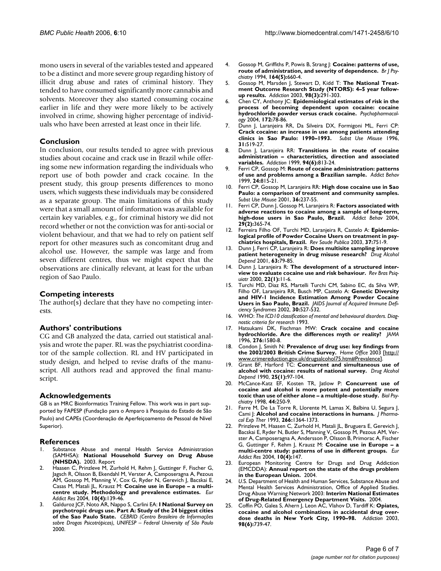mono users in several of the variables tested and appeared to be a distinct and more severe group regarding history of illicit drug abuse and rates of criminal history. They tended to have consumed significantly more cannabis and solvents. Moreover they also started consuming cocaine earlier in life and they were more likely to be actively involved in crime, showing higher percentage of individuals who have been arrested at least once in their life.

# **Conclusion**

In conclusion, our results tended to agree with previous studies about cocaine and crack use in Brazil while offering some new information regarding the individuals who report use of both powder and crack cocaine. In the present study, this group presents differences to mono users, which suggests these individuals may be considered as a separate group. The main limitations of this study were that a small amount of information was available for certain key variables, e.g., for criminal history we did not record whether or not the conviction was for anti-social or violent behaviour, and that we had to rely on patient self report for other measures such as concomitant drug and alcohol use. However, the sample was large and from seven different centres, thus we might expect that the observations are clinically relevant, at least for the urban region of Sao Paulo.

# **Competing interests**

The author(s) declare that they have no competing interests.

# **Authors' contributions**

CG and GB analyzed the data, carried out statistical analysis and wrote the paper. RL was the psychiatrist coordinator of the sample collection. RL and HV participated in study design, and helped to revise drafts of the manuscript. All authors read and approved the final manuscript.

# **Acknowledgements**

GB is an MRC Bioinformatics Training Fellow. This work was in part supported by FAPESP (Fundação para o Amparo à Pesquisa do Estado de São Paulo) and CAPEs (Coordenação de Aperfeiçoamento de Pessoal de Nível Superior).

# **References**

- 1. Substance Abuse and mental Health Service Administration (SAMHSA): **National Household Survey on Drug Abuse (NHSDA).** 2003. Report
- 2. Haasen C, Prinzleve M, Zurhold H, Rehm J, Guttinger F, Fischer G, Jagsch R, Olsson B, Ekendahl M, Verster A, Camposeragna A, Pezous AM, Gossop M, Manning V, Cox G, Ryder N, Gerevich J, Bacskai E, Casas M, Matali JL, Krausz M: **[Cocaine use in Europe – a multi](http://www.ncbi.nlm.nih.gov/entrez/query.fcgi?cmd=Retrieve&db=PubMed&dopt=Abstract&list_uids=15367814)[centre study. Methodology and prevalence estimates.](http://www.ncbi.nlm.nih.gov/entrez/query.fcgi?cmd=Retrieve&db=PubMed&dopt=Abstract&list_uids=15367814)** *Eur Addict Res* 2004, **10(4):**139-46.
- 3. Galduroz JCF, Noto AR, Nappo S, Carlini EA: **I National Survey on psychotropic drugs use. Part A: Study of the 24 biggest cities of the Sao Paulo State.** *CEBRID (Centro Brasileiro de Informações sobre Drogas Psicotrópicas), UNIFESP – Federal University of São Paulo* 2000.
- 4. Gossop M, Griffiths P, Powis B, Strang J: **[Cocaine: patterns of use,](http://www.ncbi.nlm.nih.gov/entrez/query.fcgi?cmd=Retrieve&db=PubMed&dopt=Abstract&list_uids=7921717) [route of administration, and severity of dependence.](http://www.ncbi.nlm.nih.gov/entrez/query.fcgi?cmd=Retrieve&db=PubMed&dopt=Abstract&list_uids=7921717)** *Br J Psychiatry* 1994, **164(5):**660-4.
- 5. Gossop M, Marsden J, Stewart D, Kidd T: **[The National Treat](http://www.ncbi.nlm.nih.gov/entrez/query.fcgi?cmd=Retrieve&db=PubMed&dopt=Abstract&list_uids=12603229)[ment Outcome Research Study \(NTORS\): 4–5 year follow](http://www.ncbi.nlm.nih.gov/entrez/query.fcgi?cmd=Retrieve&db=PubMed&dopt=Abstract&list_uids=12603229)[up results.](http://www.ncbi.nlm.nih.gov/entrez/query.fcgi?cmd=Retrieve&db=PubMed&dopt=Abstract&list_uids=12603229)** *Addiction* 2003, **98(3):**291-303.
- 6. Chen CY, Anthony JC: **[Epidemiological estimates of risk in the](http://www.ncbi.nlm.nih.gov/entrez/query.fcgi?cmd=Retrieve&db=PubMed&dopt=Abstract&list_uids=14598014) [process of becoming dependent upon cocaine: cocaine](http://www.ncbi.nlm.nih.gov/entrez/query.fcgi?cmd=Retrieve&db=PubMed&dopt=Abstract&list_uids=14598014) [hydrochloride powder versus crack cocaine.](http://www.ncbi.nlm.nih.gov/entrez/query.fcgi?cmd=Retrieve&db=PubMed&dopt=Abstract&list_uids=14598014)** *Psychopharmacology* 2004, **172:**78-86.
- 7. Dunn J, Laranjeira RR, Da Silveira DX, Formigoni ML, Ferri CP: **[Crack cocaine: an increase in use among patients attending](http://www.ncbi.nlm.nih.gov/entrez/query.fcgi?cmd=Retrieve&db=PubMed&dopt=Abstract&list_uids=8851815) [clinics in Sao Paulo: 1990–1993.](http://www.ncbi.nlm.nih.gov/entrez/query.fcgi?cmd=Retrieve&db=PubMed&dopt=Abstract&list_uids=8851815)** *Subst Use Misuse* 1996, **31:**519-27.
- 8. Dunn J, Laranjeira RR: **[Transitions in the route of cocaine](http://www.ncbi.nlm.nih.gov/entrez/query.fcgi?cmd=Retrieve&db=PubMed&dopt=Abstract&list_uids=10665071) [administration – characteristics, direction and associated](http://www.ncbi.nlm.nih.gov/entrez/query.fcgi?cmd=Retrieve&db=PubMed&dopt=Abstract&list_uids=10665071) [variables.](http://www.ncbi.nlm.nih.gov/entrez/query.fcgi?cmd=Retrieve&db=PubMed&dopt=Abstract&list_uids=10665071)** *Addiction* 1999, **94(6):**813-24.
- 9. Ferri CP, Gossop M: **[Route of cocaine administration: patterns](http://www.ncbi.nlm.nih.gov/entrez/query.fcgi?cmd=Retrieve&db=PubMed&dopt=Abstract&list_uids=10628515) [of use and problems among a Brazilian sample.](http://www.ncbi.nlm.nih.gov/entrez/query.fcgi?cmd=Retrieve&db=PubMed&dopt=Abstract&list_uids=10628515)** *Addict Behav* 1999, **24:**815-21.
- 10. Ferri CP, Gossop M, Laranjeira RR: **[High dose cocaine use in Sao](http://www.ncbi.nlm.nih.gov/entrez/query.fcgi?cmd=Retrieve&db=PubMed&dopt=Abstract&list_uids=11325165) [Paulo: a comparison of treatment and community samples.](http://www.ncbi.nlm.nih.gov/entrez/query.fcgi?cmd=Retrieve&db=PubMed&dopt=Abstract&list_uids=11325165)** *Subst Use Misuse* 2001, **36:**237-55.
- 11. Ferri CP, Dunn J, Gossop M, Laranjeira R: **[Factors associated with](http://www.ncbi.nlm.nih.gov/entrez/query.fcgi?cmd=Retrieve&db=PubMed&dopt=Abstract&list_uids=14732425) [adverse reactions to cocaine among a sample of long-term,](http://www.ncbi.nlm.nih.gov/entrez/query.fcgi?cmd=Retrieve&db=PubMed&dopt=Abstract&list_uids=14732425) [high-dose users in Sao Paulo, Brazil.](http://www.ncbi.nlm.nih.gov/entrez/query.fcgi?cmd=Retrieve&db=PubMed&dopt=Abstract&list_uids=14732425)** *Addict Behav* 2004, **29(2):**365-74.
- 12. Ferreira Filho OF, Turchi MD, Laranjeira R, Castelo A: **[Epidemio](http://www.ncbi.nlm.nih.gov/entrez/query.fcgi?cmd=Retrieve&db=PubMed&dopt=Abstract&list_uids=14666305)[logical profile of Powder Cocaine Users on treatment in psy](http://www.ncbi.nlm.nih.gov/entrez/query.fcgi?cmd=Retrieve&db=PubMed&dopt=Abstract&list_uids=14666305)[chiatrics hospitals, Brazil.](http://www.ncbi.nlm.nih.gov/entrez/query.fcgi?cmd=Retrieve&db=PubMed&dopt=Abstract&list_uids=14666305)** *Rev Saude Publica* 2003, **37:**751-9.
- 13. Dunn J, Ferri CP, Laranjeira R: **[Does multisite sampling improve](http://www.ncbi.nlm.nih.gov/entrez/query.fcgi?cmd=Retrieve&db=PubMed&dopt=Abstract&list_uids=11297833) [patient heterogeneity in drug misuse research?](http://www.ncbi.nlm.nih.gov/entrez/query.fcgi?cmd=Retrieve&db=PubMed&dopt=Abstract&list_uids=11297833)** *Drug Alcohol Depend* 2001, **63:**79-85.
- 14. Dunn J, Laranjeira R: The development of a structured inter**view to evaluate cocaine use and risk behaviour.** *Rev Bras Psiquiatr* 2000, **22(1):**11-6.
- Turchi MD, Diaz RS, Martelli Turchi CM, Sabino EC, da Silva WP, Filho OF, Laranjeira RR, Busch MP, Castelo A: **Genetic Diversity and HIV-1 Incidence Estimation Among Powder Cocaine Users in Sao Paulo, Brazil.** *JAIDS Journal of Acquired Immune Deficiency Syndromes* 2002, **30:**527-532.
- 16. WHO: *The ICD10 classification of mental and behavioural disorders. Diagnostic criteria for research* 1993.
- 17. Hatsukami DK, Fischman MW: **[Crack cocaine and cocaine](http://www.ncbi.nlm.nih.gov/entrez/query.fcgi?cmd=Retrieve&db=PubMed&dopt=Abstract&list_uids=8918856) [hydrochloride. Are the differences myth or reality?](http://www.ncbi.nlm.nih.gov/entrez/query.fcgi?cmd=Retrieve&db=PubMed&dopt=Abstract&list_uids=8918856)** *JAMA* 1996, **276:**1580-8.
- 18. Condon J, Smith N: Prevalence of drug use: key findings from **the 2002/2003 British Crime Survey.** *Home Office* 2003 [\[http://](http://www.crimereduction.gov.uk/drugsalcohol75.htm#Prevalence) [www.crimereduction.gov.uk/drugsalcohol75.htm#Prevalence\]](http://www.crimereduction.gov.uk/drugsalcohol75.htm#Prevalence).
- 19. Grant BF, Harford TC: **[Concurrent and simultaneous use of](http://www.ncbi.nlm.nih.gov/entrez/query.fcgi?cmd=Retrieve&db=PubMed&dopt=Abstract&list_uids=2323315) [alcohol with cocaine: results of national survey.](http://www.ncbi.nlm.nih.gov/entrez/query.fcgi?cmd=Retrieve&db=PubMed&dopt=Abstract&list_uids=2323315)** *Drug Alcohol Depend* 1990, **25(1):**97-104.
- 20. McCance-Katz EF, Kosten TR, Jatlow P: **[Concurrent use of](http://www.ncbi.nlm.nih.gov/entrez/query.fcgi?cmd=Retrieve&db=PubMed&dopt=Abstract&list_uids=9715356) [cocaine and alcohol is more potent and potentially more](http://www.ncbi.nlm.nih.gov/entrez/query.fcgi?cmd=Retrieve&db=PubMed&dopt=Abstract&list_uids=9715356) [toxic than use of either alone – a multiple-dose study.](http://www.ncbi.nlm.nih.gov/entrez/query.fcgi?cmd=Retrieve&db=PubMed&dopt=Abstract&list_uids=9715356)** *Biol Psychiatry* 1998, **44:**250-9.
- 21. Farre M, De La Torre R, Llorente M, Lamas X, Balbina U, Segura J, Cami J: **[Alcohol and cocaine interactions in humans.](http://www.ncbi.nlm.nih.gov/entrez/query.fcgi?cmd=Retrieve&db=PubMed&dopt=Abstract&list_uids=8371143)** *J Pharmacol Exp Ther* 1993, **266:**1364-1373.
- 22. Prinzleve M, Haasen C, Zurhold H, Matali JL, Bruguera E, Gerevich J, Bacskai E, Ryder N, Butler S, Manning V, Gossop M, Pezous AM, Verster A, Camposeragna A, Andersson P, Olsson B, Primorac A, Fischer G, Guttinger F, Rehm J, Krausz M: **[Cocaine use in Europe – a](http://www.ncbi.nlm.nih.gov/entrez/query.fcgi?cmd=Retrieve&db=PubMed&dopt=Abstract&list_uids=15367815) [multi-centre study: patterns of use in different groups.](http://www.ncbi.nlm.nih.gov/entrez/query.fcgi?cmd=Retrieve&db=PubMed&dopt=Abstract&list_uids=15367815)** *Eur Addict Res* 2004, **10(4):**147.
- 23. European Monitoring Centre for Drugs and Drug Addiction (EMCDDA): **Annual report on the state of the drugs problem in the European Union.** 2004.
- 24. *U*.S. Department of Health and Human Services, Substance Abuse and Mental Health Services Administration, Office of Applied Studies. Drug Abuse Warning Network 2003: **Interim National Estimates of Drug-Related Emergency Department Visits.** 2004.
- 25. Coffin PO, Galea S, Ahern J, Leon AC, Vlahov D, Tardiff K: **[Opiates,](http://www.ncbi.nlm.nih.gov/entrez/query.fcgi?cmd=Retrieve&db=PubMed&dopt=Abstract&list_uids=12780362) [cocaine and alcohol combinations in accidental drug over](http://www.ncbi.nlm.nih.gov/entrez/query.fcgi?cmd=Retrieve&db=PubMed&dopt=Abstract&list_uids=12780362)[dose deaths in New York City, 1990–98.](http://www.ncbi.nlm.nih.gov/entrez/query.fcgi?cmd=Retrieve&db=PubMed&dopt=Abstract&list_uids=12780362)** *Addiction* 2003, **98(6):**739-47.